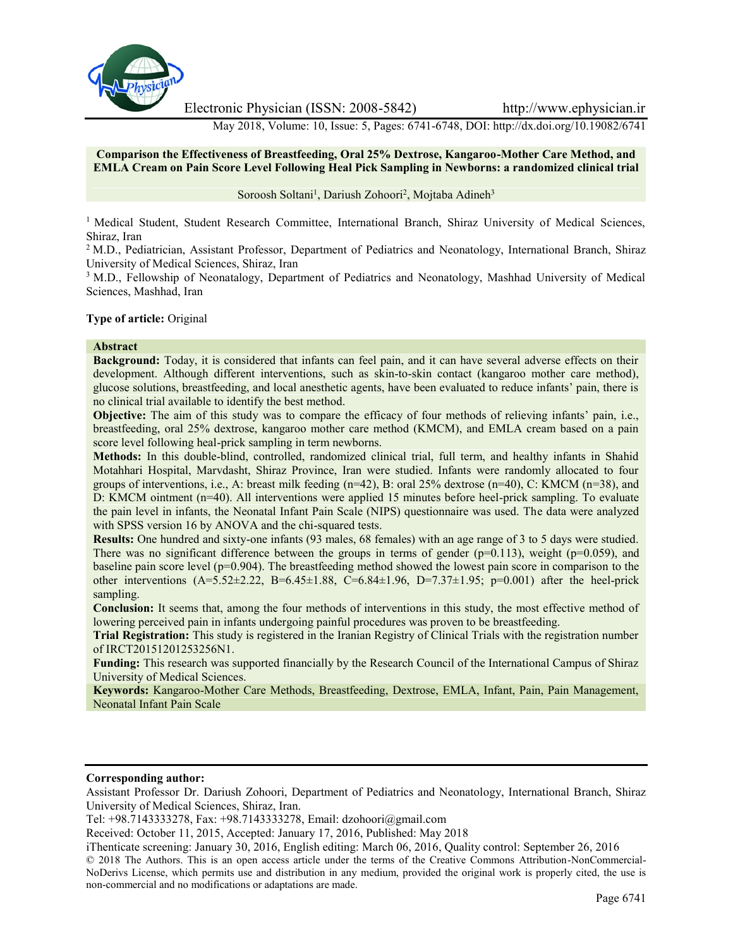

Electronic Physician (ISSN: 2008-5842) http://www.ephysician.ir

May 2018, Volume: 10, Issue: 5, Pages: 6741-6748, DOI: http://dx.doi.org/10.19082/6741

# **Comparison the Effectiveness of Breastfeeding, Oral 25% Dextrose, Kangaroo-Mother Care Method, and EMLA Cream on Pain Score Level Following Heal Pick Sampling in Newborns: a randomized clinical trial**

Soroosh Soltani<sup>1</sup>, Dariush Zohoori<sup>2</sup>, Mojtaba Adineh<sup>3</sup>

<sup>1</sup> Medical Student, Student Research Committee, International Branch, Shiraz University of Medical Sciences, Shiraz, Iran

<sup>2</sup> M.D., Pediatrician, Assistant Professor, Department of Pediatrics and Neonatology, International Branch, Shiraz University of Medical Sciences, Shiraz, Iran

<sup>3</sup> M.D., Fellowship of Neonatalogy, Department of Pediatrics and Neonatology, Mashhad University of Medical Sciences, Mashhad, Iran

## **Type of article:** Original

#### **Abstract**

**Background:** Today, it is considered that infants can feel pain, and it can have several adverse effects on their development. Although different interventions, such as skin-to-skin contact (kangaroo mother care method), glucose solutions, breastfeeding, and local anesthetic agents, have been evaluated to reduce infants' pain, there is no clinical trial available to identify the best method.

**Objective:** The aim of this study was to compare the efficacy of four methods of relieving infants' pain, i.e., breastfeeding, oral 25% dextrose, kangaroo mother care method (KMCM), and EMLA cream based on a pain score level following heal-prick sampling in term newborns.

**Methods:** In this double-blind, controlled, randomized clinical trial, full term, and healthy infants in Shahid Motahhari Hospital, Marvdasht, Shiraz Province, Iran were studied. Infants were randomly allocated to four groups of interventions, i.e., A: breast milk feeding (n=42), B: oral 25% dextrose (n=40), C: KMCM (n=38), and D: KMCM ointment (n=40). All interventions were applied 15 minutes before heel-prick sampling. To evaluate the pain level in infants, the Neonatal Infant Pain Scale (NIPS) questionnaire was used. The data were analyzed with SPSS version 16 by ANOVA and the chi-squared tests.

**Results:** One hundred and sixty-one infants (93 males, 68 females) with an age range of 3 to 5 days were studied. There was no significant difference between the groups in terms of gender ( $p=0.113$ ), weight ( $p=0.059$ ), and baseline pain score level (p=0.904). The breastfeeding method showed the lowest pain score in comparison to the other interventions  $(A=5.52\pm 2.22, B=6.45\pm 1.88, C=6.84\pm 1.96, D=7.37\pm 1.95; p=0.001)$  after the heel-prick sampling.

**Conclusion:** It seems that, among the four methods of interventions in this study, the most effective method of lowering perceived pain in infants undergoing painful procedures was proven to be breastfeeding.

**Trial Registration:** This study is registered in the Iranian Registry of Clinical Trials with the registration number of IRCT20151201253256N1.

**Funding:** This research was supported financially by the Research Council of the International Campus of Shiraz University of Medical Sciences.

**Keywords:** Kangaroo-Mother Care Methods, Breastfeeding, Dextrose, EMLA, Infant, Pain, Pain Management, Neonatal Infant Pain Scale

#### **Corresponding author:**

iThenticate screening: January 30, 2016, English editing: March 06, 2016, Quality control: September 26, 2016

Assistant Professor Dr. Dariush Zohoori, Department of Pediatrics and Neonatology, International Branch, Shiraz University of Medical Sciences, Shiraz, Iran.

Tel: +98.7143333278, Fax: +98.7143333278, Email: dzohoori@gmail.com

Received: October 11, 2015, Accepted: January 17, 2016, Published: May 2018

<sup>© 2018</sup> The Authors. This is an open access article under the terms of the Creative Commons Attribution-NonCommercial- NoDerivs License, which permits use and distribution in any medium, provided the original work is properly cited, the use is non-commercial and no modifications or adaptations are made.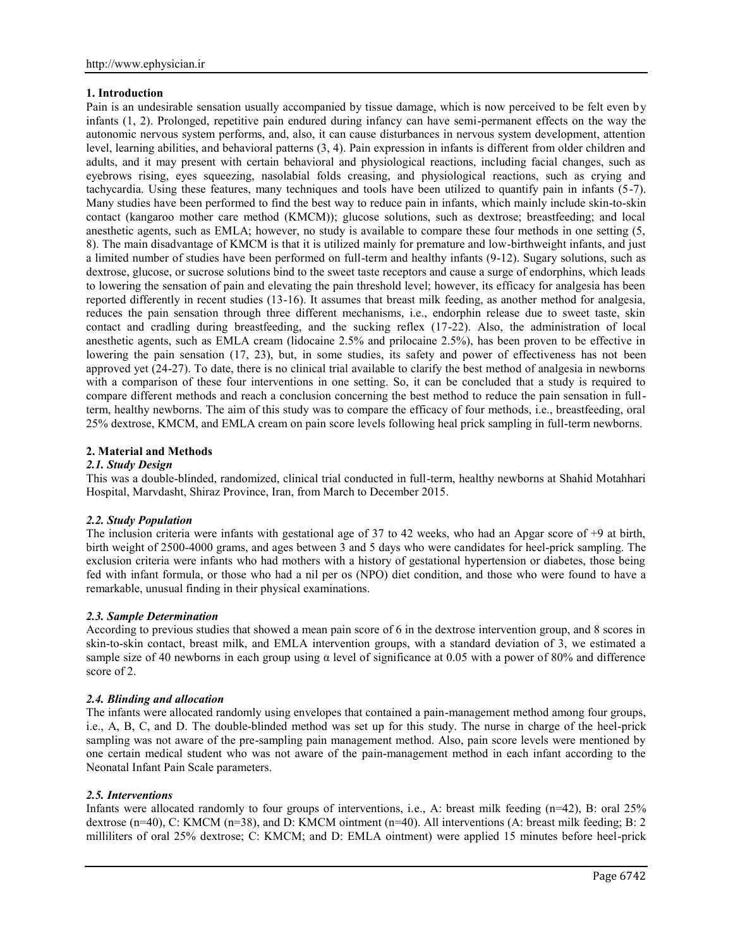## **1. Introduction**

Pain is an undesirable sensation usually accompanied by tissue damage, which is now perceived to be felt even by infants (1, 2). Prolonged, repetitive pain endured during infancy can have semi-permanent effects on the way the autonomic nervous system performs, and, also, it can cause disturbances in nervous system development, attention level, learning abilities, and behavioral patterns (3, 4). Pain expression in infants is different from older children and adults, and it may present with certain behavioral and physiological reactions, including facial changes, such as eyebrows rising, eyes squeezing, nasolabial folds creasing, and physiological reactions, such as crying and tachycardia. Using these features, many techniques and tools have been utilized to quantify pain in infants (5-7). Many studies have been performed to find the best way to reduce pain in infants, which mainly include skin-to-skin contact (kangaroo mother care method (KMCM)); glucose solutions, such as dextrose; breastfeeding; and local anesthetic agents, such as EMLA; however, no study is available to compare these four methods in one setting (5, 8). The main disadvantage of KMCM is that it is utilized mainly for premature and low-birthweight infants, and just a limited number of studies have been performed on full-term and healthy infants (9-12). Sugary solutions, such as dextrose, glucose, or sucrose solutions bind to the sweet taste receptors and cause a surge of endorphins, which leads to lowering the sensation of pain and elevating the pain threshold level; however, its efficacy for analgesia has been reported differently in recent studies (13-16). It assumes that breast milk feeding, as another method for analgesia, reduces the pain sensation through three different mechanisms, i.e., endorphin release due to sweet taste, skin contact and cradling during breastfeeding, and the sucking reflex (17-22). Also, the administration of local anesthetic agents, such as EMLA cream (lidocaine 2.5% and prilocaine 2.5%), has been proven to be effective in lowering the pain sensation (17, 23), but, in some studies, its safety and power of effectiveness has not been approved yet (24-27). To date, there is no clinical trial available to clarify the best method of analgesia in newborns with a comparison of these four interventions in one setting. So, it can be concluded that a study is required to compare different methods and reach a conclusion concerning the best method to reduce the pain sensation in fullterm, healthy newborns. The aim of this study was to compare the efficacy of four methods, i.e., breastfeeding, oral 25% dextrose, KMCM, and EMLA cream on pain score levels following heal prick sampling in full-term newborns.

# **2. Material and Methods**

## *2.1. Study Design*

This was a double-blinded, randomized, clinical trial conducted in full-term, healthy newborns at Shahid Motahhari Hospital, Marvdasht, Shiraz Province, Iran, from March to December 2015.

## *2.2. Study Population*

The inclusion criteria were infants with gestational age of 37 to 42 weeks, who had an Apgar score of +9 at birth, birth weight of 2500-4000 grams, and ages between 3 and 5 days who were candidates for heel-prick sampling. The exclusion criteria were infants who had mothers with a history of gestational hypertension or diabetes, those being fed with infant formula, or those who had a nil per os (NPO) diet condition, and those who were found to have a remarkable, unusual finding in their physical examinations.

## *2.3. Sample Determination*

According to previous studies that showed a mean pain score of 6 in the dextrose intervention group, and 8 scores in skin-to-skin contact, breast milk, and EMLA intervention groups, with a standard deviation of 3, we estimated a sample size of 40 newborns in each group using  $\alpha$  level of significance at 0.05 with a power of 80% and difference score of 2.

## *2.4. Blinding and allocation*

The infants were allocated randomly using envelopes that contained a pain-management method among four groups, i.e., A, B, C, and D. The double-blinded method was set up for this study. The nurse in charge of the heel-prick sampling was not aware of the pre-sampling pain management method. Also, pain score levels were mentioned by one certain medical student who was not aware of the pain-management method in each infant according to the Neonatal Infant Pain Scale parameters.

## *2.5. Interventions*

Infants were allocated randomly to four groups of interventions, i.e., A: breast milk feeding (n=42), B: oral 25% dextrose (n=40), C: KMCM (n=38), and D: KMCM ointment (n=40). All interventions (A: breast milk feeding; B: 2 milliliters of oral 25% dextrose; C: KMCM; and D: EMLA ointment) were applied 15 minutes before heel-prick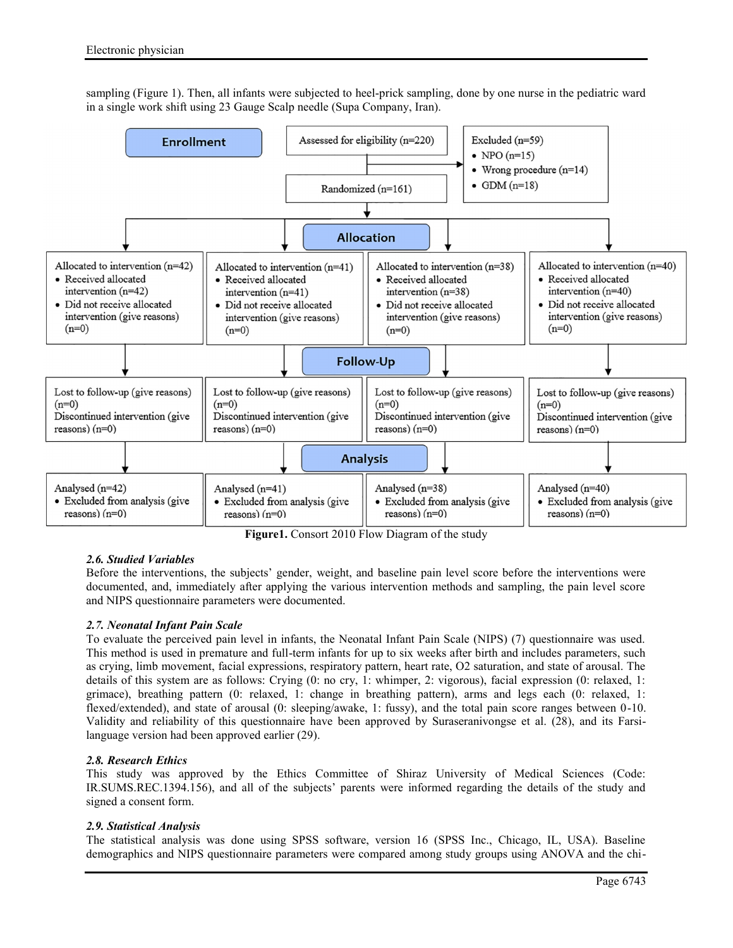sampling (Figure 1). Then, all infants were subjected to heel-prick sampling, done by one nurse in the pediatric ward in a single work shift using 23 Gauge Scalp needle (Supa Company, Iran).



**Figure1.** Consort 2010 Flow Diagram of the study

## *2.6. Studied Variables*

Before the interventions, the subjects' gender, weight, and baseline pain level score before the interventions were documented, and, immediately after applying the various intervention methods and sampling, the pain level score and NIPS questionnaire parameters were documented.

## *2.7. Neonatal Infant Pain Scale*

To evaluate the perceived pain level in infants, the Neonatal Infant Pain Scale (NIPS) (7) questionnaire was used. This method is used in premature and full-term infants for up to six weeks after birth and includes parameters, such as crying, limb movement, facial expressions, respiratory pattern, heart rate, O2 saturation, and state of arousal. The details of this system are as follows: Crying (0: no cry, 1: whimper, 2: vigorous), facial expression (0: relaxed, 1: grimace), breathing pattern (0: relaxed, 1: change in breathing pattern), arms and legs each (0: relaxed, 1: flexed/extended), and state of arousal (0: sleeping/awake, 1: fussy), and the total pain score ranges between 0-10. Validity and reliability of this questionnaire have been approved by Suraseranivongse et al. (28), and its Farsilanguage version had been approved earlier (29).

## *2.8. Research Ethics*

This study was approved by the Ethics Committee of Shiraz University of Medical Sciences (Code: IR.SUMS.REC.1394.156), and all of the subjects' parents were informed regarding the details of the study and signed a consent form.

## *2.9. Statistical Analysis*

The statistical analysis was done using SPSS software, version 16 (SPSS Inc., Chicago, IL, USA). Baseline demographics and NIPS questionnaire parameters were compared among study groups using ANOVA and the chi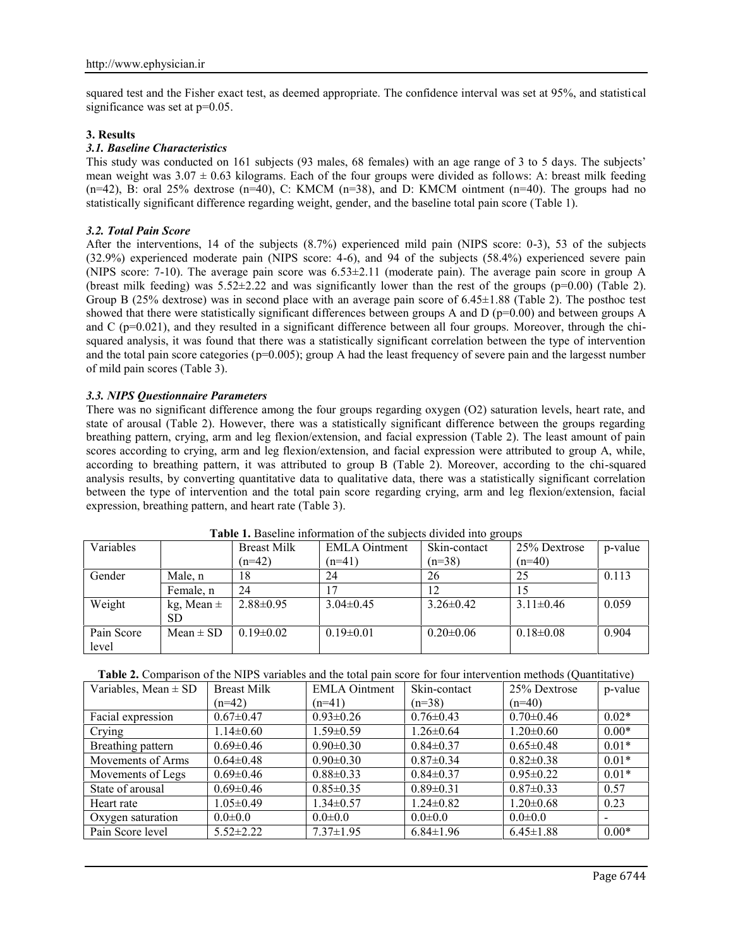squared test and the Fisher exact test, as deemed appropriate. The confidence interval was set at 95%, and statistical significance was set at  $p=0.05$ .

#### **3. Results**

#### *3.1. Baseline Characteristics*

This study was conducted on 161 subjects (93 males, 68 females) with an age range of 3 to 5 days. The subjects' mean weight was  $3.07 \pm 0.63$  kilograms. Each of the four groups were divided as follows: A: breast milk feeding  $(n=42)$ , B: oral 25% dextrose  $(n=40)$ , C: KMCM  $(n=38)$ , and D: KMCM ointment  $(n=40)$ . The groups had no statistically significant difference regarding weight, gender, and the baseline total pain score (Table 1).

#### *3.2. Total Pain Score*

After the interventions, 14 of the subjects (8.7%) experienced mild pain (NIPS score: 0-3), 53 of the subjects (32.9%) experienced moderate pain (NIPS score: 4-6), and 94 of the subjects (58.4%) experienced severe pain (NIPS score: 7-10). The average pain score was 6.53±2.11 (moderate pain). The average pain score in group A (breast milk feeding) was  $5.52\pm2.22$  and was significantly lower than the rest of the groups (p=0.00) (Table 2). Group B (25% dextrose) was in second place with an average pain score of 6.45±1.88 (Table 2). The posthoc test showed that there were statistically significant differences between groups A and D ( $p=0.00$ ) and between groups A and C ( $p=0.021$ ), and they resulted in a significant difference between all four groups. Moreover, through the chisquared analysis, it was found that there was a statistically significant correlation between the type of intervention and the total pain score categories ( $p=0.005$ ); group A had the least frequency of severe pain and the largesst number of mild pain scores (Table 3).

#### *3.3. NIPS Questionnaire Parameters*

There was no significant difference among the four groups regarding oxygen (O2) saturation levels, heart rate, and state of arousal (Table 2). However, there was a statistically significant difference between the groups regarding breathing pattern, crying, arm and leg flexion/extension, and facial expression (Table 2). The least amount of pain scores according to crying, arm and leg flexion/extension, and facial expression were attributed to group A, while, according to breathing pattern, it was attributed to group B (Table 2). Moreover, according to the chi-squared analysis results, by converting quantitative data to qualitative data, there was a statistically significant correlation between the type of intervention and the total pain score regarding crying, arm and leg flexion/extension, facial expression, breathing pattern, and heart rate (Table 3).

| Variables           |                             | <b>Breast Milk</b> | <b>EMLA Ointment</b> | Skin-contact    | 25% Dextrose    | p-value |
|---------------------|-----------------------------|--------------------|----------------------|-----------------|-----------------|---------|
|                     |                             | $(n=42)$           | $(n=41)$             | $(n=38)$        | $(n=40)$        |         |
| Gender              | Male, n                     | 18                 | 24                   | 26              | 25              | 0.113   |
|                     | Female, n                   | 24                 |                      |                 |                 |         |
| Weight              | kg, Mean $\pm$<br><b>SD</b> | $2.88\pm0.95$      | $3.04\pm0.45$        | $3.26 \pm 0.42$ | $3.11 \pm 0.46$ | 0.059   |
| Pain Score<br>level | $Mean \pm SD$               | $0.19 \pm 0.02$    | $0.19 \pm 0.01$      | $0.20 \pm 0.06$ | $0.18 \pm 0.08$ | 0.904   |

**Table 1.** Baseline information of the subjects divided into groups

| <b>Table 2.</b> Comparison of the NIPS variables and the total pain score for four intervention methods (Quantitative) |
|------------------------------------------------------------------------------------------------------------------------|
|------------------------------------------------------------------------------------------------------------------------|

| Variables, Mean $\pm$ SD | <b>Breast Milk</b> | <b>EMLA Ointment</b> | Skin-contact    | 25% Dextrose    | p-value |
|--------------------------|--------------------|----------------------|-----------------|-----------------|---------|
|                          | $(n=42)$           | $(n=41)$             | $(n=38)$        | $(n=40)$        |         |
| Facial expression        | $0.67 \pm 0.47$    | $0.93 \pm 0.26$      | $0.76 \pm 0.43$ | $0.70 \pm 0.46$ | $0.02*$ |
| Crying                   | $1.14 \pm 0.60$    | $1.59 \pm 0.59$      | $1.26 \pm 0.64$ | $1.20 \pm 0.60$ | $0.00*$ |
| Breathing pattern        | $0.69 \pm 0.46$    | $0.90 \pm 0.30$      | $0.84 \pm 0.37$ | $0.65 \pm 0.48$ | $0.01*$ |
| Movements of Arms        | $0.64 \pm 0.48$    | $0.90 \pm 0.30$      | $0.87 \pm 0.34$ | $0.82 \pm 0.38$ | $0.01*$ |
| Movements of Legs        | $0.69 \pm 0.46$    | $0.88 \pm 0.33$      | $0.84 \pm 0.37$ | $0.95 \pm 0.22$ | $0.01*$ |
| State of arousal         | $0.69 \pm 0.46$    | $0.85 \pm 0.35$      | $0.89 \pm 0.31$ | $0.87 \pm 0.33$ | 0.57    |
| Heart rate               | $1.05 \pm 0.49$    | $1.34 \pm 0.57$      | $1.24 \pm 0.82$ | $1.20 \pm 0.68$ | 0.23    |
| Oxygen saturation        | $0.0 \pm 0.0$      | $0.0 \pm 0.0$        | $0.0 \pm 0.0$   | $0.0 \pm 0.0$   |         |
| Pain Score level         | $5.52 \pm 2.22$    | $7.37 \pm 1.95$      | $6.84 \pm 1.96$ | $6.45 \pm 1.88$ | $0.00*$ |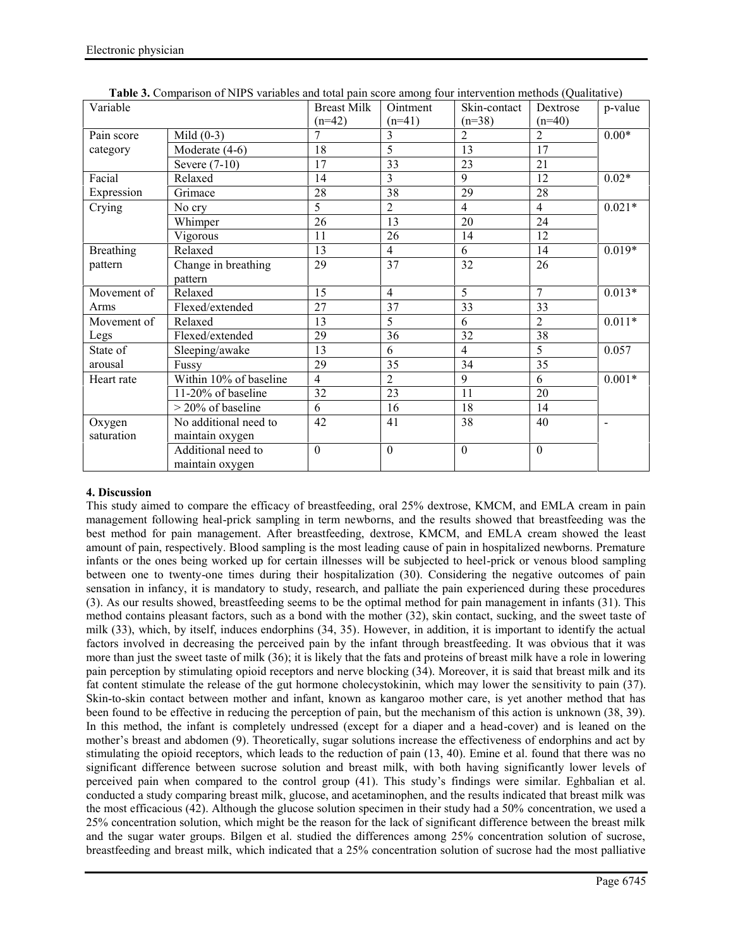| $\cdots$ . Comparison of this $\circ$ , animores and total pain secte among four more , emerged ( $\sqrt{a}$ animative)<br>Variable |                        | <b>Breast Milk</b> | Ointment       | Skin-contact   | Dextrose       | p-value        |  |
|-------------------------------------------------------------------------------------------------------------------------------------|------------------------|--------------------|----------------|----------------|----------------|----------------|--|
|                                                                                                                                     |                        | $(n=42)$           | $(n=41)$       | $(n=38)$       | $(n=40)$       |                |  |
| Pain score                                                                                                                          | Mild $(0-3)$           | 7                  | 3              | $\overline{c}$ | $\overline{c}$ | $0.00*$        |  |
| category                                                                                                                            | Moderate (4-6)         | 18                 | 5              | 13             | 17             |                |  |
|                                                                                                                                     | Severe $(7-10)$        | 17                 | 33             | 23             | 21             |                |  |
| Facial                                                                                                                              | Relaxed                | 14                 | $\overline{3}$ | 9              | 12             | $0.02*$        |  |
| Expression                                                                                                                          | Grimace                | 28                 | 38             | 29             | 28             |                |  |
| Crying                                                                                                                              | No cry                 | 5                  | $\overline{2}$ | $\overline{4}$ | $\overline{4}$ | $0.021*$       |  |
|                                                                                                                                     | Whimper                | 26                 | 13             | 20             | 24             |                |  |
|                                                                                                                                     | Vigorous               | 11                 | 26             | 14             | 12             |                |  |
| <b>Breathing</b>                                                                                                                    | Relaxed                | 13                 | $\overline{4}$ | 6              | 14             | $0.019*$       |  |
| pattern                                                                                                                             | Change in breathing    | 29                 | 37             | 32             | 26             |                |  |
|                                                                                                                                     | pattern                |                    |                |                |                |                |  |
| Movement of                                                                                                                         | Relaxed                | 15                 | $\overline{4}$ | 5 <sup>5</sup> | $\tau$         | $0.013*$       |  |
| Arms                                                                                                                                | Flexed/extended        | 27                 | 37             | 33             | 33             |                |  |
| Movement of                                                                                                                         | Relaxed                | 13                 | 5              | 6              | $\overline{2}$ | $0.011*$       |  |
| Legs                                                                                                                                | Flexed/extended        | 29                 | 36             | 32             | 38             |                |  |
| State of                                                                                                                            | Sleeping/awake         | 13                 | 6              | $\overline{4}$ | 5              | 0.057          |  |
| arousal                                                                                                                             | Fussy                  | 29                 | 35             | 34             | 35             |                |  |
| Heart rate                                                                                                                          | Within 10% of baseline | $\overline{4}$     | $\overline{2}$ | 9              | 6              | $0.001*$       |  |
|                                                                                                                                     | 11-20% of baseline     | 32                 | 23             | 11             | 20             |                |  |
|                                                                                                                                     | $>$ 20% of baseline    | 6                  | 16             | 18             | 14             |                |  |
| Oxygen                                                                                                                              | No additional need to  | 42                 | 41             | 38             | 40             | $\blacksquare$ |  |
| saturation                                                                                                                          | maintain oxygen        |                    |                |                |                |                |  |
|                                                                                                                                     | Additional need to     | $\Omega$           | $\mathbf{0}$   | $\overline{0}$ | $\overline{0}$ |                |  |
|                                                                                                                                     | maintain oxygen        |                    |                |                |                |                |  |

| Table 3. Comparison of NIPS variables and total pain score among four intervention methods (Qualitative) |  |
|----------------------------------------------------------------------------------------------------------|--|
|                                                                                                          |  |

## **4. Discussion**

This study aimed to compare the efficacy of breastfeeding, oral 25% dextrose, KMCM, and EMLA cream in pain management following heal-prick sampling in term newborns, and the results showed that breastfeeding was the best method for pain management. After breastfeeding, dextrose, KMCM, and EMLA cream showed the least amount of pain, respectively. Blood sampling is the most leading cause of pain in hospitalized newborns. Premature infants or the ones being worked up for certain illnesses will be subjected to heel-prick or venous blood sampling between one to twenty-one times during their hospitalization (30). Considering the negative outcomes of pain sensation in infancy, it is mandatory to study, research, and palliate the pain experienced during these procedures (3). As our results showed, breastfeeding seems to be the optimal method for pain management in infants (31). This method contains pleasant factors, such as a bond with the mother (32), skin contact, sucking, and the sweet taste of milk (33), which, by itself, induces endorphins (34, 35). However, in addition, it is important to identify the actual factors involved in decreasing the perceived pain by the infant through breastfeeding. It was obvious that it was more than just the sweet taste of milk (36); it is likely that the fats and proteins of breast milk have a role in lowering pain perception by stimulating opioid receptors and nerve blocking (34). Moreover, it is said that breast milk and its fat content stimulate the release of the gut hormone cholecystokinin, which may lower the sensitivity to pain (37). Skin-to-skin contact between mother and infant, known as kangaroo mother care, is yet another method that has been found to be effective in reducing the perception of pain, but the mechanism of this action is unknown (38, 39). In this method, the infant is completely undressed (except for a diaper and a head-cover) and is leaned on the mother's breast and abdomen (9). Theoretically, sugar solutions increase the effectiveness of endorphins and act by stimulating the opioid receptors, which leads to the reduction of pain (13, 40). Emine et al. found that there was no significant difference between sucrose solution and breast milk, with both having significantly lower levels of perceived pain when compared to the control group (41). This study's findings were similar. Eghbalian et al. conducted a study comparing breast milk, glucose, and acetaminophen, and the results indicated that breast milk was the most efficacious (42). Although the glucose solution specimen in their study had a 50% concentration, we used a 25% concentration solution, which might be the reason for the lack of significant difference between the breast milk and the sugar water groups. Bilgen et al. studied the differences among 25% concentration solution of sucrose, breastfeeding and breast milk, which indicated that a 25% concentration solution of sucrose had the most palliative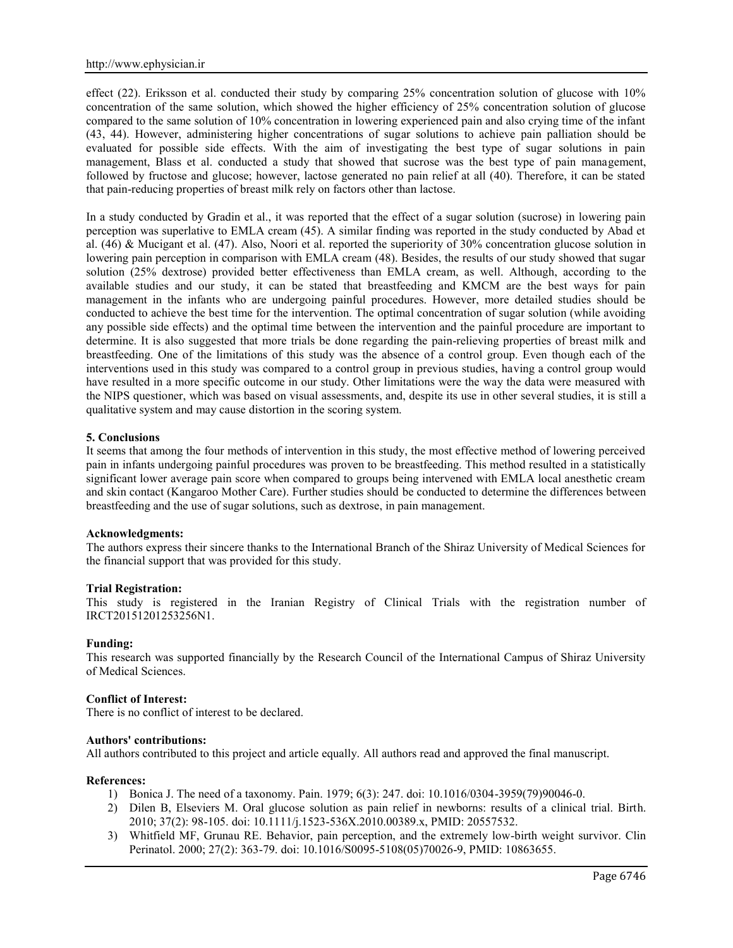effect (22). Eriksson et al. conducted their study by comparing 25% concentration solution of glucose with 10% concentration of the same solution, which showed the higher efficiency of 25% concentration solution of glucose compared to the same solution of 10% concentration in lowering experienced pain and also crying time of the infant (43, 44). However, administering higher concentrations of sugar solutions to achieve pain palliation should be evaluated for possible side effects. With the aim of investigating the best type of sugar solutions in pain management, Blass et al. conducted a study that showed that sucrose was the best type of pain management, followed by fructose and glucose; however, lactose generated no pain relief at all (40). Therefore, it can be stated that pain-reducing properties of breast milk rely on factors other than lactose.

In a study conducted by Gradin et al., it was reported that the effect of a sugar solution (sucrose) in lowering pain perception was superlative to EMLA cream (45). A similar finding was reported in the study conducted by Abad et al. (46) & Mucigant et al. (47). Also, Noori et al. reported the superiority of 30% concentration glucose solution in lowering pain perception in comparison with EMLA cream (48). Besides, the results of our study showed that sugar solution (25% dextrose) provided better effectiveness than EMLA cream, as well. Although, according to the available studies and our study, it can be stated that breastfeeding and KMCM are the best ways for pain management in the infants who are undergoing painful procedures. However, more detailed studies should be conducted to achieve the best time for the intervention. The optimal concentration of sugar solution (while avoiding any possible side effects) and the optimal time between the intervention and the painful procedure are important to determine. It is also suggested that more trials be done regarding the pain-relieving properties of breast milk and breastfeeding. One of the limitations of this study was the absence of a control group. Even though each of the interventions used in this study was compared to a control group in previous studies, having a control group would have resulted in a more specific outcome in our study. Other limitations were the way the data were measured with the NIPS questioner, which was based on visual assessments, and, despite its use in other several studies, it is still a qualitative system and may cause distortion in the scoring system.

#### **5. Conclusions**

It seems that among the four methods of intervention in this study, the most effective method of lowering perceived pain in infants undergoing painful procedures was proven to be breastfeeding. This method resulted in a statistically significant lower average pain score when compared to groups being intervened with EMLA local anesthetic cream and skin contact (Kangaroo Mother Care). Further studies should be conducted to determine the differences between breastfeeding and the use of sugar solutions, such as dextrose, in pain management.

#### **Acknowledgments:**

The authors express their sincere thanks to the International Branch of the Shiraz University of Medical Sciences for the financial support that was provided for this study.

#### **Trial Registration:**

This study is registered in the Iranian Registry of Clinical Trials with the registration number of IRCT20151201253256N1.

#### **Funding:**

This research was supported financially by the Research Council of the International Campus of Shiraz University of Medical Sciences.

#### **Conflict of Interest:**

There is no conflict of interest to be declared.

#### **Authors' contributions:**

All authors contributed to this project and article equally. All authors read and approved the final manuscript.

#### **References:**

- 1) Bonica J. The need of a taxonomy. Pain. 1979; 6(3): 247. doi: 10.1016/0304-3959(79)90046-0.
- 2) Dilen B, Elseviers M. Oral glucose solution as pain relief in newborns: results of a clinical trial. Birth. 2010; 37(2): 98-105. doi: 10.1111/j.1523-536X.2010.00389.x, PMID: 20557532.
- 3) Whitfield MF, Grunau RE. Behavior, pain perception, and the extremely low-birth weight survivor. Clin Perinatol. 2000; 27(2): 363-79. doi: 10.1016/S0095-5108(05)70026-9, PMID: 10863655.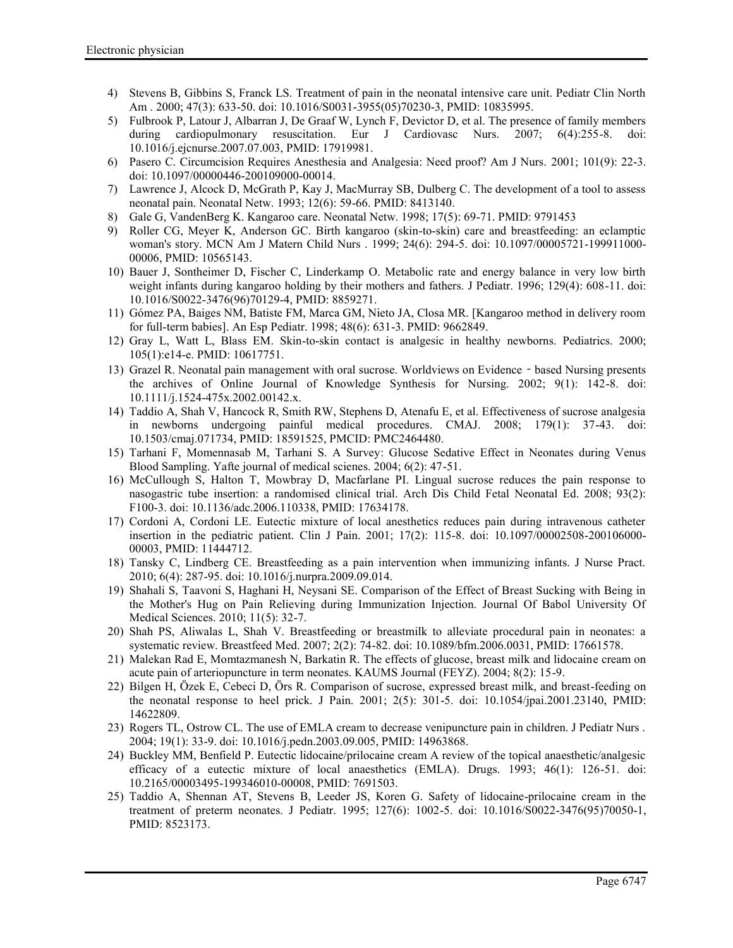- 4) Stevens B, Gibbins S, Franck LS. Treatment of pain in the neonatal intensive care unit. Pediatr Clin North Am . 2000; 47(3): 633-50. doi: 10.1016/S0031-3955(05)70230-3, PMID: 10835995.
- 5) Fulbrook P, Latour J, Albarran J, De Graaf W, Lynch F, Devictor D, et al. The presence of family members during cardiopulmonary resuscitation. Eur J Cardiovasc Nurs. 2007; 6(4):255-8. doi: 10.1016/j.ejcnurse.2007.07.003, PMID: 17919981.
- 6) Pasero C. Circumcision Requires Anesthesia and Analgesia: Need proof? Am J Nurs. 2001; 101(9): 22-3. doi: 10.1097/00000446-200109000-00014.
- 7) Lawrence J, Alcock D, McGrath P, Kay J, MacMurray SB, Dulberg C. The development of a tool to assess neonatal pain. Neonatal Netw. 1993; 12(6): 59-66. PMID: 8413140.
- 8) Gale G, VandenBerg K. Kangaroo care. Neonatal Netw. 1998; 17(5): 69-71. PMID: 9791453
- 9) Roller CG, Meyer K, Anderson GC. Birth kangaroo (skin-to-skin) care and breastfeeding: an eclamptic woman's story. MCN Am J Matern Child Nurs . 1999; 24(6): 294-5. doi: 10.1097/00005721-199911000- 00006, PMID: 10565143.
- 10) Bauer J, Sontheimer D, Fischer C, Linderkamp O. Metabolic rate and energy balance in very low birth weight infants during kangaroo holding by their mothers and fathers. J Pediatr. 1996; 129(4): 608-11. doi: 10.1016/S0022-3476(96)70129-4, PMID: 8859271.
- 11) Gómez PA, Baiges NM, Batiste FM, Marca GM, Nieto JA, Closa MR. [Kangaroo method in delivery room for full-term babies]. An Esp Pediatr. 1998; 48(6): 631-3. PMID: 9662849.
- 12) Gray L, Watt L, Blass EM. Skin-to-skin contact is analgesic in healthy newborns. Pediatrics. 2000; 105(1):e14-e. PMID: 10617751.
- 13) Grazel R. Neonatal pain management with oral sucrose. Worldviews on Evidence based Nursing presents the archives of Online Journal of Knowledge Synthesis for Nursing. 2002; 9(1): 142-8. doi: 10.1111/j.1524-475x.2002.00142.x.
- 14) Taddio A, Shah V, Hancock R, Smith RW, Stephens D, Atenafu E, et al. Effectiveness of sucrose analgesia in newborns undergoing painful medical procedures. CMAJ. 2008; 179(1): 37-43. doi: 10.1503/cmaj.071734, PMID: 18591525, PMCID: PMC2464480.
- 15) Tarhani F, Momennasab M, Tarhani S. A Survey: Glucose Sedative Effect in Neonates during Venus Blood Sampling. Yafte journal of medical scienes. 2004; 6(2): 47-51.
- 16) McCullough S, Halton T, Mowbray D, Macfarlane PI. Lingual sucrose reduces the pain response to nasogastric tube insertion: a randomised clinical trial. Arch Dis Child Fetal Neonatal Ed. 2008; 93(2): F100-3. doi: 10.1136/adc.2006.110338, PMID: 17634178.
- 17) Cordoni A, Cordoni LE. Eutectic mixture of local anesthetics reduces pain during intravenous catheter insertion in the pediatric patient. Clin J Pain. 2001; 17(2): 115-8. doi: 10.1097/00002508-200106000- 00003, PMID: 11444712.
- 18) Tansky C, Lindberg CE. Breastfeeding as a pain intervention when immunizing infants. J Nurse Pract. 2010; 6(4): 287-95. doi: 10.1016/j.nurpra.2009.09.014.
- 19) Shahali S, Taavoni S, Haghani H, Neysani SE. Comparison of the Effect of Breast Sucking with Being in the Mother's Hug on Pain Relieving during Immunization Injection. Journal Of Babol University Of Medical Sciences. 2010; 11(5): 32-7.
- 20) Shah PS, Aliwalas L, Shah V. Breastfeeding or breastmilk to alleviate procedural pain in neonates: a systematic review. Breastfeed Med. 2007; 2(2): 74-82. doi: 10.1089/bfm.2006.0031, PMID: 17661578.
- 21) Malekan Rad E, Momtazmanesh N, Barkatin R. The effects of glucose, breast milk and lidocaine cream on acute pain of arteriopuncture in term neonates. KAUMS Journal (FEYZ). 2004; 8(2): 15-9.
- 22) Bilgen H, Özek E, Cebeci D, Örs R. Comparison of sucrose, expressed breast milk, and breast-feeding on the neonatal response to heel prick. J Pain. 2001; 2(5): 301-5. doi: 10.1054/jpai.2001.23140, PMID: 14622809.
- 23) Rogers TL, Ostrow CL. The use of EMLA cream to decrease venipuncture pain in children. J Pediatr Nurs . 2004; 19(1): 33-9. doi: 10.1016/j.pedn.2003.09.005, PMID: 14963868.
- 24) Buckley MM, Benfield P. Eutectic lidocaine/prilocaine cream A review of the topical anaesthetic/analgesic efficacy of a eutectic mixture of local anaesthetics (EMLA). Drugs. 1993; 46(1): 126-51. doi: 10.2165/00003495-199346010-00008, PMID: 7691503.
- 25) Taddio A, Shennan AT, Stevens B, Leeder JS, Koren G. Safety of lidocaine-prilocaine cream in the treatment of preterm neonates. J Pediatr. 1995; 127(6): 1002-5. doi: 10.1016/S0022-3476(95)70050-1, PMID: 8523173.